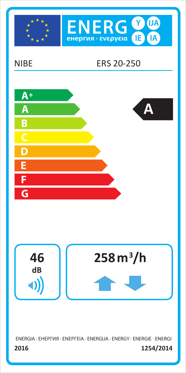